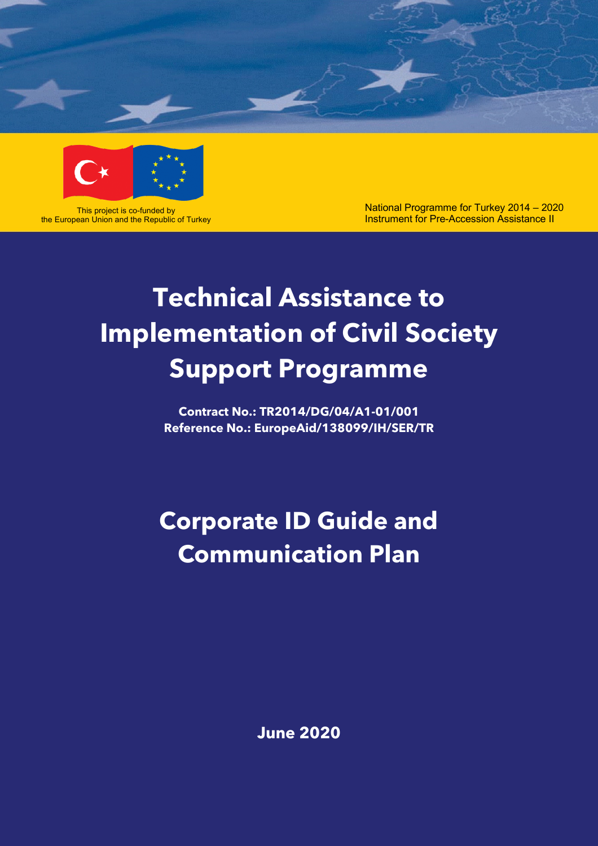



This project is co-funded by the European Union and the Republic of Turkey National Programme for Turkey 2014 – 2020 Instrument for Pre-Accession Assistance II

# **Technical Assistance to Implementation of Civil Society Support Programme**

**Contract No.: TR2014/DG/04/A1-01/001 Reference No.: EuropeAid/138099/IH/SER/TR**

**Corporate ID Guide and Communication Plan** 

**June 2020**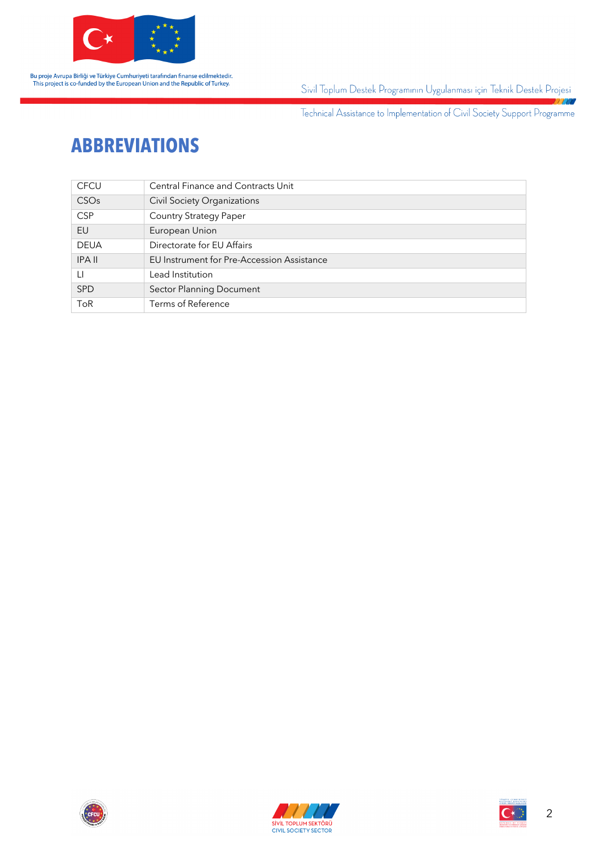

Sivil Toplum Destek Programının Uygulanması için Teknik Destek Projesi 7777

Technical Assistance to Implementation of Civil Society Support Programme

### **ABBREVIATIONS**

| <b>CFCU</b>      | Central Finance and Contracts Unit         |  |  |
|------------------|--------------------------------------------|--|--|
| CSO <sub>s</sub> | <b>Civil Society Organizations</b>         |  |  |
| <b>CSP</b>       | <b>Country Strategy Paper</b>              |  |  |
| EU               | European Union                             |  |  |
| <b>DEUA</b>      | Directorate for EU Affairs                 |  |  |
| <b>IPA II</b>    | EU Instrument for Pre-Accession Assistance |  |  |
| LI               | Lead Institution                           |  |  |
| <b>SPD</b>       | Sector Planning Document                   |  |  |
| <b>ToR</b>       | Terms of Reference                         |  |  |





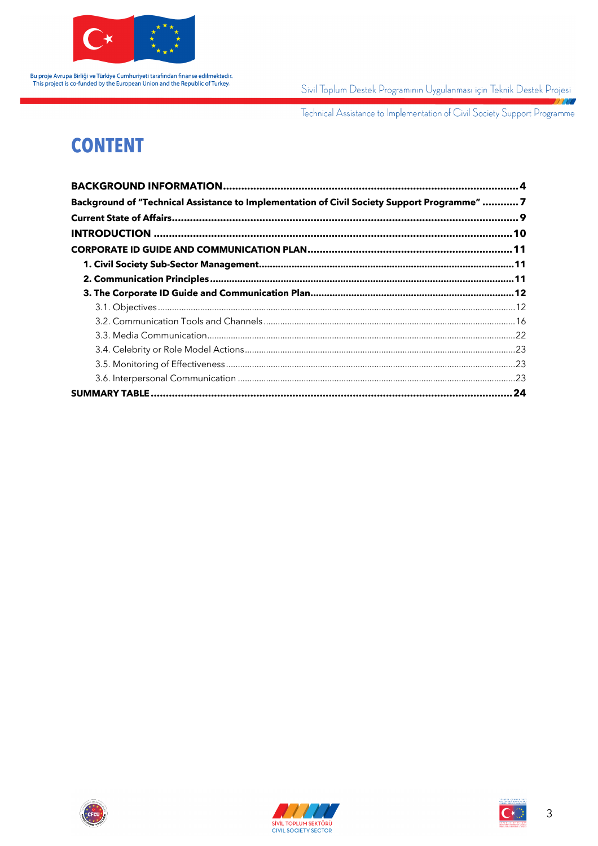

Sivil Toplum Destek Programının Uygulanması için Teknik Destek Projesi 7770

Technical Assistance to Implementation of Civil Society Support Programme

## **CONTENT**

| Background of "Technical Assistance to Implementation of Civil Society Support Programme"  7 |  |
|----------------------------------------------------------------------------------------------|--|
|                                                                                              |  |
|                                                                                              |  |
|                                                                                              |  |
|                                                                                              |  |
|                                                                                              |  |
|                                                                                              |  |
|                                                                                              |  |
|                                                                                              |  |
|                                                                                              |  |
|                                                                                              |  |
|                                                                                              |  |
|                                                                                              |  |
|                                                                                              |  |





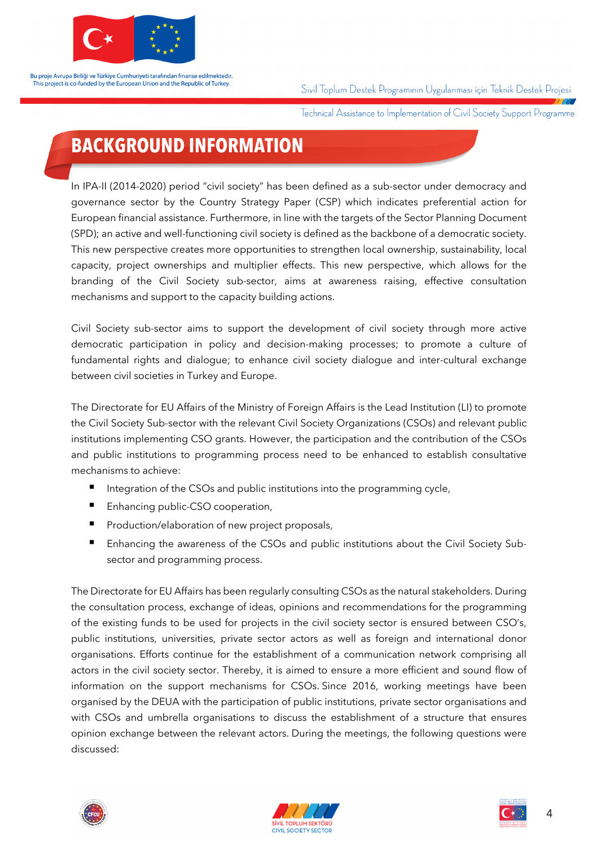

Sivil Toplum Destek Programının Uygulanması için Teknik Destek Projesi

Technical Assistance to Implementation of Civil Society Support Programme

### **BACKGROUND INFORMATION**

In IPA-II (2014-2020) period "civil society" has been defined as a sub-sector under democracy and governance sector by the Country Strategy Paper (CSP) which indicates preferential action for European financial assistance. Furthermore, in line with the targets of the Sector Planning Document (SPD); an active and well-functioning civil society is defined as the backbone of a democratic society. This new perspective creates more opportunities to strengthen local ownership, sustainability, local capacity, project ownerships and multiplier effects. This new perspective, which allows for the branding of the Civil Society sub-sector, aims at awareness raising, effective consultation mechanisms and support to the capacity building actions.

Civil Society sub-sector aims to support the development of civil society through more active democratic participation in policy and decision-making processes; to promote a culture of fundamental rights and dialogue; to enhance civil society dialogue and inter-cultural exchange between civil societies in Turkey and Europe.

The Directorate for EU Affairs of the Ministry of Foreign Affairs is the Lead Institution (LI) to promote the Civil Society Sub-sector with the relevant Civil Society Organizations (CSOs) and relevant public institutions implementing CSO grants. However, the participation and the contribution of the CSOs and public institutions to programming process need to be enhanced to establish consultative mechanisms to achieve:

- Integration of the CSOs and public institutions into the programming cycle,
- Enhancing public-CSO cooperation,
- Production/elaboration of new project proposals,
- Enhancing the awareness of the CSOs and public institutions about the Civil Society Subsector and programming process.

The Directorate for EU Affairs has been regularly consulting CSOs as the natural stakeholders. During the consultation process, exchange of ideas, opinions and recommendations for the programming of the existing funds to be used for projects in the civil society sector is ensured between CSO's, public institutions, universities, private sector actors as well as foreign and international donor organisations. Efforts continue for the establishment of a communication network comprising all actors in the civil society sector. Thereby, it is aimed to ensure a more efficient and sound flow of information on the support mechanisms for CSOs. Since 2016, working meetings have been organised by the DEUA with the participation of public institutions, private sector organisations and with CSOs and umbrella organisations to discuss the establishment of a structure that ensures opinion exchange between the relevant actors. During the meetings, the following questions were discussed:



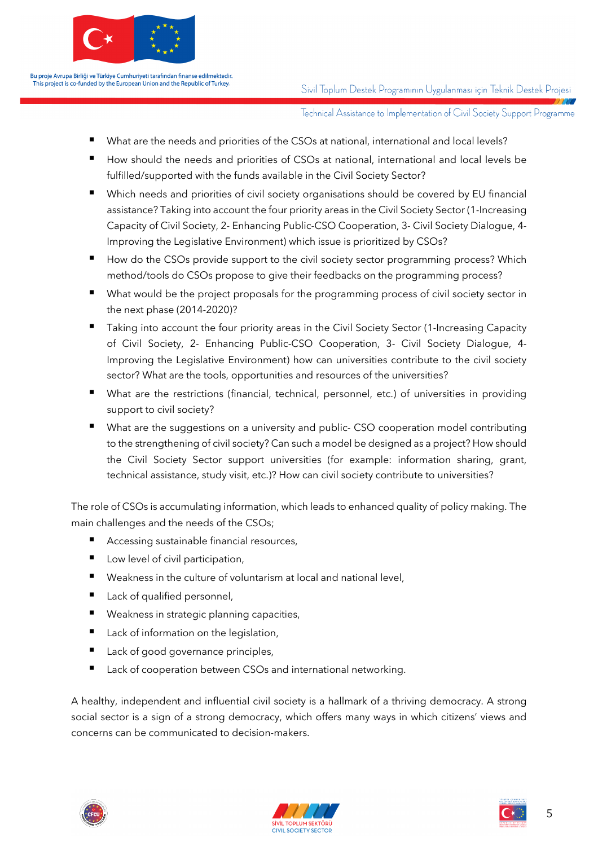

Sivil Toplum Destek Programının Uygulanması için Teknik Destek Projesi

Technical Assistance to Implementation of Civil Society Support Programme

- § What are the needs and priorities of the CSOs at national, international and local levels?
- How should the needs and priorities of CSOs at national, international and local levels be fulfilled/supported with the funds available in the Civil Society Sector?
- Which needs and priorities of civil society organisations should be covered by EU financial assistance? Taking into account the four priority areas in the Civil Society Sector (1-Increasing Capacity of Civil Society, 2- Enhancing Public-CSO Cooperation, 3- Civil Society Dialogue, 4- Improving the Legislative Environment) which issue is prioritized by CSOs?
- How do the CSOs provide support to the civil society sector programming process? Which method/tools do CSOs propose to give their feedbacks on the programming process?
- What would be the project proposals for the programming process of civil society sector in the next phase (2014-2020)?
- Taking into account the four priority areas in the Civil Society Sector (1-Increasing Capacity of Civil Society, 2- Enhancing Public-CSO Cooperation, 3- Civil Society Dialogue, 4- Improving the Legislative Environment) how can universities contribute to the civil society sector? What are the tools, opportunities and resources of the universities?
- What are the restrictions (financial, technical, personnel, etc.) of universities in providing support to civil society?
- What are the suggestions on a university and public- CSO cooperation model contributing to the strengthening of civil society? Can such a model be designed as a project? How should the Civil Society Sector support universities (for example: information sharing, grant, technical assistance, study visit, etc.)? How can civil society contribute to universities?

The role of CSOs is accumulating information, which leads to enhanced quality of policy making. The main challenges and the needs of the CSOs;

- § Accessing sustainable financial resources,
- Low level of civil participation,
- Weakness in the culture of voluntarism at local and national level,
- Lack of qualified personnel,
- Weakness in strategic planning capacities,
- Lack of information on the legislation,
- Lack of good governance principles,
- Lack of cooperation between CSOs and international networking.

A healthy, independent and influential civil society is a hallmark of a thriving democracy. A strong social sector is a sign of a strong democracy, which offers many ways in which citizens' views and concerns can be communicated to decision-makers.





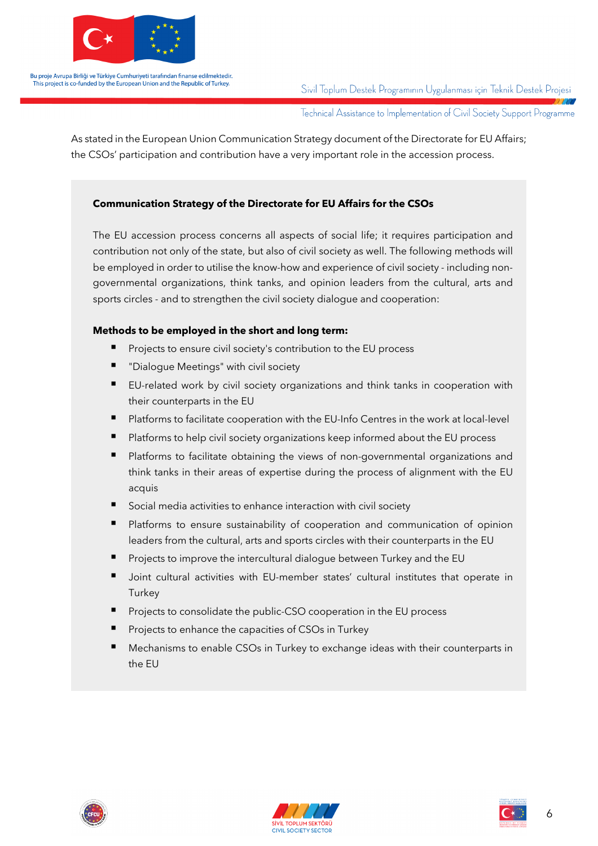

Sivil Toplum Destek Programının Uygulanması için Teknik Destek Projesi

Technical Assistance to Implementation of Civil Society Support Programme

As stated in the European Union Communication Strategy document of the Directorate for EU Affairs; the CSOs' participation and contribution have a very important role in the accession process.

#### **Communication Strategy of the Directorate for EU Affairs for the CSOs**

The EU accession process concerns all aspects of social life; it requires participation and contribution not only of the state, but also of civil society as well. The following methods will be employed in order to utilise the know-how and experience of civil society - including nongovernmental organizations, think tanks, and opinion leaders from the cultural, arts and sports circles - and to strengthen the civil society dialogue and cooperation:

#### **Methods to be employed in the short and long term:**

- § Projects to ensure civil society's contribution to the EU process
- § "Dialogue Meetings" with civil society
- EU-related work by civil society organizations and think tanks in cooperation with their counterparts in the EU
- § Platforms to facilitate cooperation with the EU-Info Centres in the work at local-level
- Platforms to help civil society organizations keep informed about the EU process
- Platforms to facilitate obtaining the views of non-governmental organizations and think tanks in their areas of expertise during the process of alignment with the EU acquis
- § Social media activities to enhance interaction with civil society
- Platforms to ensure sustainability of cooperation and communication of opinion leaders from the cultural, arts and sports circles with their counterparts in the EU
- § Projects to improve the intercultural dialogue between Turkey and the EU
- Joint cultural activities with EU-member states' cultural institutes that operate in **Turkey**
- § Projects to consolidate the public-CSO cooperation in the EU process
- § Projects to enhance the capacities of CSOs in Turkey
- § Mechanisms to enable CSOs in Turkey to exchange ideas with their counterparts in the EU





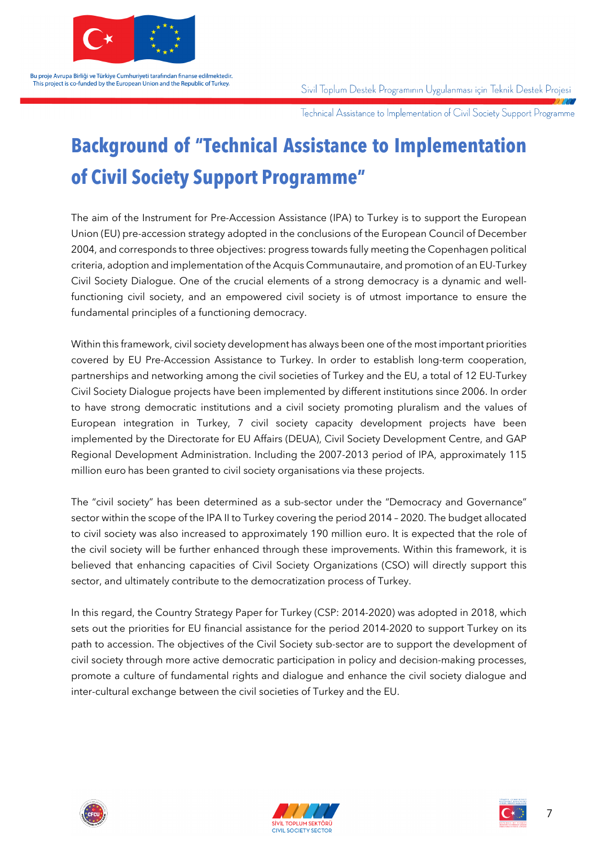

Sivil Toplum Destek Programının Uygulanması için Teknik Destek Projesi

Technical Assistance to Implementation of Civil Society Support Programme

## **Background of "Technical Assistance to Implementation of Civil Society Support Programme"**

The aim of the Instrument for Pre-Accession Assistance (IPA) to Turkey is to support the European Union (EU) pre-accession strategy adopted in the conclusions of the European Council of December 2004, and corresponds to three objectives: progress towards fully meeting the Copenhagen political criteria, adoption and implementation of the Acquis Communautaire, and promotion of an EU-Turkey Civil Society Dialogue. One of the crucial elements of a strong democracy is a dynamic and wellfunctioning civil society, and an empowered civil society is of utmost importance to ensure the fundamental principles of a functioning democracy.

Within this framework, civil society development has always been one of the most important priorities covered by EU Pre-Accession Assistance to Turkey. In order to establish long-term cooperation, partnerships and networking among the civil societies of Turkey and the EU, a total of 12 EU-Turkey Civil Society Dialogue projects have been implemented by different institutions since 2006. In order to have strong democratic institutions and a civil society promoting pluralism and the values of European integration in Turkey, 7 civil society capacity development projects have been implemented by the Directorate for EU Affairs (DEUA), Civil Society Development Centre, and GAP Regional Development Administration. Including the 2007-2013 period of IPA, approximately 115 million euro has been granted to civil society organisations via these projects.

The "civil society" has been determined as a sub-sector under the "Democracy and Governance" sector within the scope of the IPA II to Turkey covering the period 2014 – 2020. The budget allocated to civil society was also increased to approximately 190 million euro. It is expected that the role of the civil society will be further enhanced through these improvements. Within this framework, it is believed that enhancing capacities of Civil Society Organizations (CSO) will directly support this sector, and ultimately contribute to the democratization process of Turkey.

In this regard, the Country Strategy Paper for Turkey (CSP: 2014-2020) was adopted in 2018, which sets out the priorities for EU financial assistance for the period 2014-2020 to support Turkey on its path to accession. The objectives of the Civil Society sub-sector are to support the development of civil society through more active democratic participation in policy and decision-making processes, promote a culture of fundamental rights and dialogue and enhance the civil society dialogue and inter-cultural exchange between the civil societies of Turkey and the EU.





7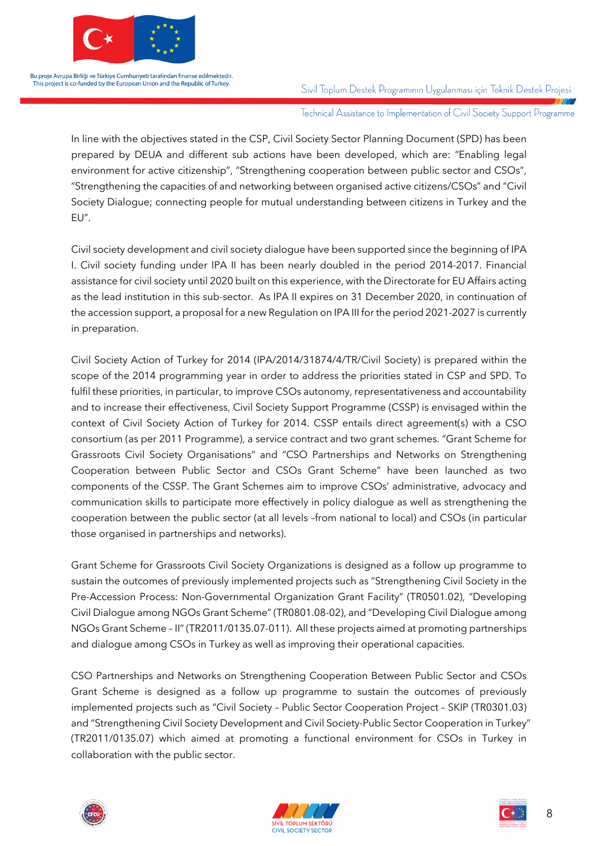

Sivil Toplum Destek Programının Uygulanması için Teknik Destek Projesi

Technical Assistance to Implementation of Civil Society Support Programme

In line with the objectives stated in the CSP, Civil Society Sector Planning Document (SPD) has been prepared by DEUA and different sub actions have been developed, which are: "Enabling legal environment for active citizenship", "Strengthening cooperation between public sector and CSOs", "Strengthening the capacities of and networking between organised active citizens/CSOs" and "Civil Society Dialogue; connecting people for mutual understanding between citizens in Turkey and the EU".

Civil society development and civil society dialogue have been supported since the beginning of IPA I. Civil society funding under IPA II has been nearly doubled in the period 2014-2017. Financial assistance for civil society until 2020 built on this experience, with the Directorate for EU Affairs acting as the lead institution in this sub-sector. As IPA II expires on 31 December 2020, in continuation of the accession support, a proposal for a new Regulation on IPA III for the period 2021-2027 is currently in preparation.

Civil Society Action of Turkey for 2014 (IPA/2014/31874/4/TR/Civil Society) is prepared within the scope of the 2014 programming year in order to address the priorities stated in CSP and SPD. To fulfil these priorities, in particular, to improve CSOs autonomy, representativeness and accountability and to increase their effectiveness, Civil Society Support Programme (CSSP) is envisaged within the context of Civil Society Action of Turkey for 2014. CSSP entails direct agreement(s) with a CSO consortium (as per 2011 Programme), a service contract and two grant schemes. "Grant Scheme for Grassroots Civil Society Organisations" and "CSO Partnerships and Networks on Strengthening Cooperation between Public Sector and CSOs Grant Scheme" have been launched as two components of the CSSP. The Grant Schemes aim to improve CSOs' administrative, advocacy and communication skills to participate more effectively in policy dialogue as well as strengthening the cooperation between the public sector (at all levels –from national to local) and CSOs (in particular those organised in partnerships and networks).

Grant Scheme for Grassroots Civil Society Organizations is designed as a follow up programme to sustain the outcomes of previously implemented projects such as "Strengthening Civil Society in the Pre-Accession Process: Non-Governmental Organization Grant Facility" (TR0501.02), "Developing Civil Dialogue among NGOs Grant Scheme" (TR0801.08-02), and "Developing Civil Dialogue among NGOs Grant Scheme – II" (TR2011/0135.07-011). All these projects aimed at promoting partnerships and dialogue among CSOs in Turkey as well as improving their operational capacities.

CSO Partnerships and Networks on Strengthening Cooperation Between Public Sector and CSOs Grant Scheme is designed as a follow up programme to sustain the outcomes of previously implemented projects such as "Civil Society – Public Sector Cooperation Project – SKIP (TR0301.03) and "Strengthening Civil Society Development and Civil Society-Public Sector Cooperation in Turkey" (TR2011/0135.07) which aimed at promoting a functional environment for CSOs in Turkey in collaboration with the public sector.





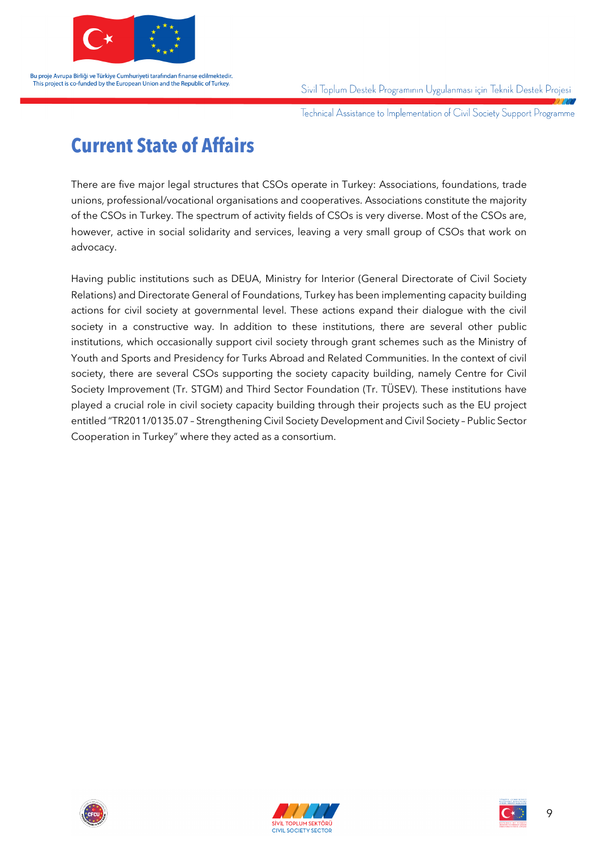

Sivil Toplum Destek Programının Uygulanması için Teknik Destek Projesi

Technical Assistance to Implementation of Civil Society Support Programme

### **Current State of Affairs**

There are five major legal structures that CSOs operate in Turkey: Associations, foundations, trade unions, professional/vocational organisations and cooperatives. Associations constitute the majority of the CSOs in Turkey. The spectrum of activity fields of CSOs is very diverse. Most of the CSOs are, however, active in social solidarity and services, leaving a very small group of CSOs that work on advocacy.

Having public institutions such as DEUA, Ministry for Interior (General Directorate of Civil Society Relations) and Directorate General of Foundations, Turkey has been implementing capacity building actions for civil society at governmental level. These actions expand their dialogue with the civil society in a constructive way. In addition to these institutions, there are several other public institutions, which occasionally support civil society through grant schemes such as the Ministry of Youth and Sports and Presidency for Turks Abroad and Related Communities. In the context of civil society, there are several CSOs supporting the society capacity building, namely Centre for Civil Society Improvement (Tr. STGM) and Third Sector Foundation (Tr. TÜSEV). These institutions have played a crucial role in civil society capacity building through their projects such as the EU project entitled "TR2011/0135.07 – Strengthening Civil Society Development and Civil Society – Public Sector Cooperation in Turkey" where they acted as a consortium.





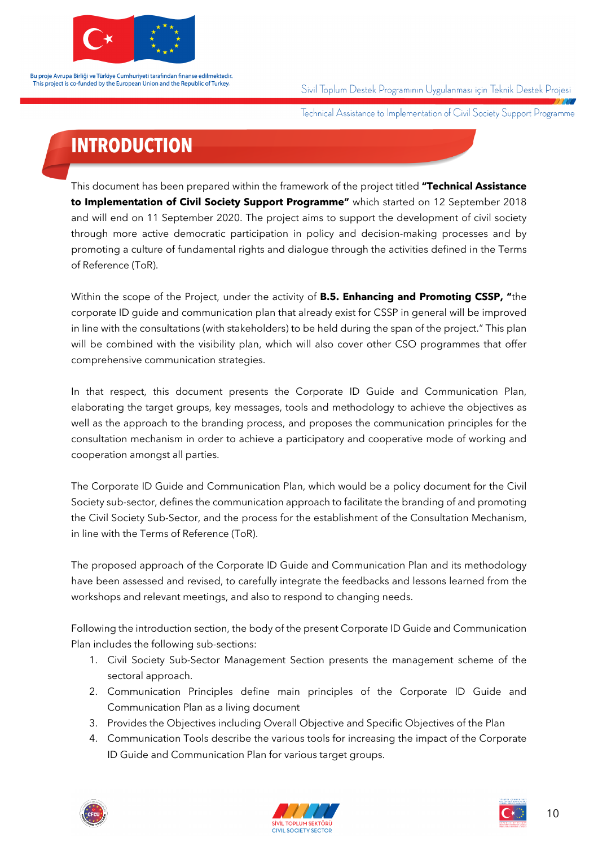

Sivil Toplum Destek Programının Uygulanması için Teknik Destek Projesi

Technical Assistance to Implementation of Civil Society Support Programme

## **INTRODUCTION**

This document has been prepared within the framework of the project titled **"Technical Assistance to Implementation of Civil Society Support Programme"** which started on 12 September 2018 and will end on 11 September 2020. The project aims to support the development of civil society through more active democratic participation in policy and decision-making processes and by promoting a culture of fundamental rights and dialogue through the activities defined in the Terms of Reference (ToR).

Within the scope of the Project, under the activity of **B.5. Enhancing and Promoting CSSP, "**the corporate ID guide and communication plan that already exist for CSSP in general will be improved in line with the consultations (with stakeholders) to be held during the span of the project." This plan will be combined with the visibility plan, which will also cover other CSO programmes that offer comprehensive communication strategies.

In that respect, this document presents the Corporate ID Guide and Communication Plan, elaborating the target groups, key messages, tools and methodology to achieve the objectives as well as the approach to the branding process, and proposes the communication principles for the consultation mechanism in order to achieve a participatory and cooperative mode of working and cooperation amongst all parties.

The Corporate ID Guide and Communication Plan, which would be a policy document for the Civil Society sub-sector, defines the communication approach to facilitate the branding of and promoting the Civil Society Sub-Sector, and the process for the establishment of the Consultation Mechanism, in line with the Terms of Reference (ToR).

The proposed approach of the Corporate ID Guide and Communication Plan and its methodology have been assessed and revised, to carefully integrate the feedbacks and lessons learned from the workshops and relevant meetings, and also to respond to changing needs.

Following the introduction section, the body of the present Corporate ID Guide and Communication Plan includes the following sub-sections:

- 1. Civil Society Sub-Sector Management Section presents the management scheme of the sectoral approach.
- 2. Communication Principles define main principles of the Corporate ID Guide and Communication Plan as a living document
- 3. Provides the Objectives including Overall Objective and Specific Objectives of the Plan
- 4. Communication Tools describe the various tools for increasing the impact of the Corporate ID Guide and Communication Plan for various target groups.





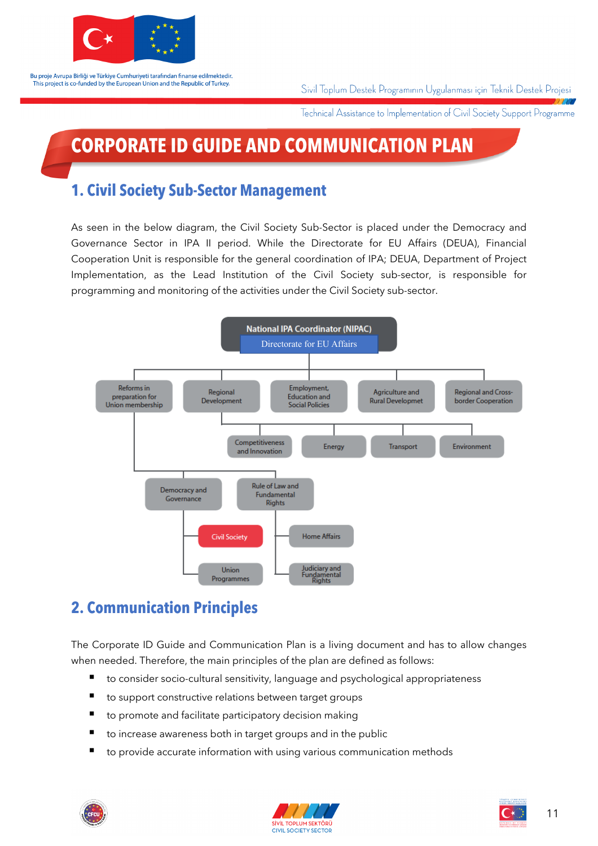

Sivil Toplum Destek Programının Uygulanması için Teknik Destek Projesi

Technical Assistance to Implementation of Civil Society Support Programme

## **CORPORATE ID GUIDE AND COMMUNICATION PLAN**

### **1. Civil Society Sub-Sector Management**

As seen in the below diagram, the Civil Society Sub-Sector is placed under the Democracy and Governance Sector in IPA II period. While the Directorate for EU Affairs (DEUA), Financial Cooperation Unit is responsible for the general coordination of IPA; DEUA, Department of Project Implementation, as the Lead Institution of the Civil Society sub-sector, is responsible for programming and monitoring of the activities under the Civil Society sub-sector.



### **2. Communication Principles**

The Corporate ID Guide and Communication Plan is a living document and has to allow changes when needed. Therefore, the main principles of the plan are defined as follows:

- to consider socio-cultural sensitivity, language and psychological appropriateness
- to support constructive relations between target groups
- to promote and facilitate participatory decision making
- to increase awareness both in target groups and in the public
- to provide accurate information with using various communication methods





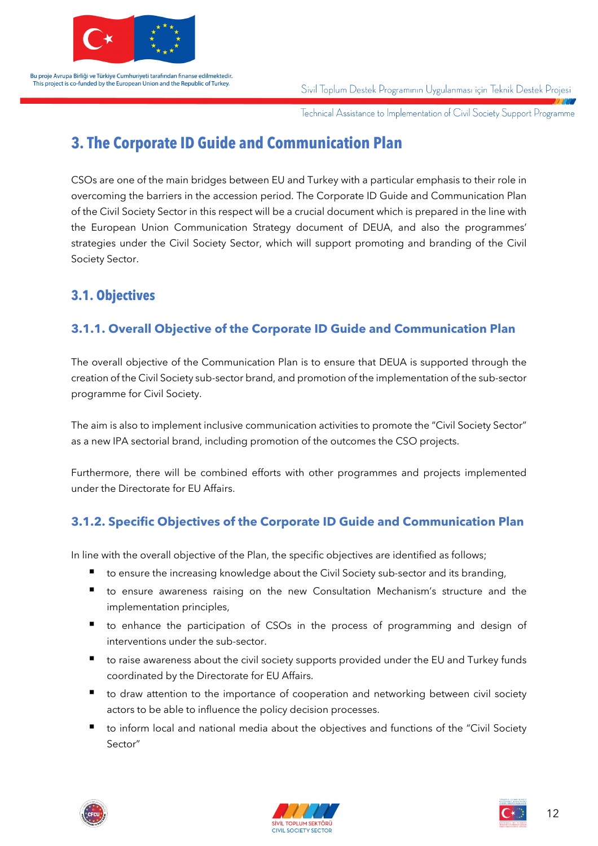

Sivil Toplum Destek Programının Uygulanması için Teknik Destek Projesi

Technical Assistance to Implementation of Civil Society Support Programme

### **3. The Corporate ID Guide and Communication Plan**

CSOs are one of the main bridges between EU and Turkey with a particular emphasis to their role in overcoming the barriers in the accession period. The Corporate ID Guide and Communication Plan of the Civil Society Sector in this respect will be a crucial document which is prepared in the line with the European Union Communication Strategy document of DEUA, and also the programmes' strategies under the Civil Society Sector, which will support promoting and branding of the Civil Society Sector.

#### **3.1. Objectives**

#### **3.1.1. Overall Objective of the Corporate ID Guide and Communication Plan**

The overall objective of the Communication Plan is to ensure that DEUA is supported through the creation of the Civil Society sub-sector brand, and promotion of the implementation of the sub-sector programme for Civil Society.

The aim is also to implement inclusive communication activities to promote the "Civil Society Sector" as a new IPA sectorial brand, including promotion of the outcomes the CSO projects.

Furthermore, there will be combined efforts with other programmes and projects implemented under the Directorate for EU Affairs.

#### **3.1.2. Specific Objectives of the Corporate ID Guide and Communication Plan**

In line with the overall objective of the Plan, the specific objectives are identified as follows;

- to ensure the increasing knowledge about the Civil Society sub-sector and its branding,
- § to ensure awareness raising on the new Consultation Mechanism's structure and the implementation principles,
- to enhance the participation of CSOs in the process of programming and design of interventions under the sub-sector.
- to raise awareness about the civil society supports provided under the EU and Turkey funds coordinated by the Directorate for EU Affairs.
- to draw attention to the importance of cooperation and networking between civil society actors to be able to influence the policy decision processes.
- to inform local and national media about the objectives and functions of the "Civil Society Sector"





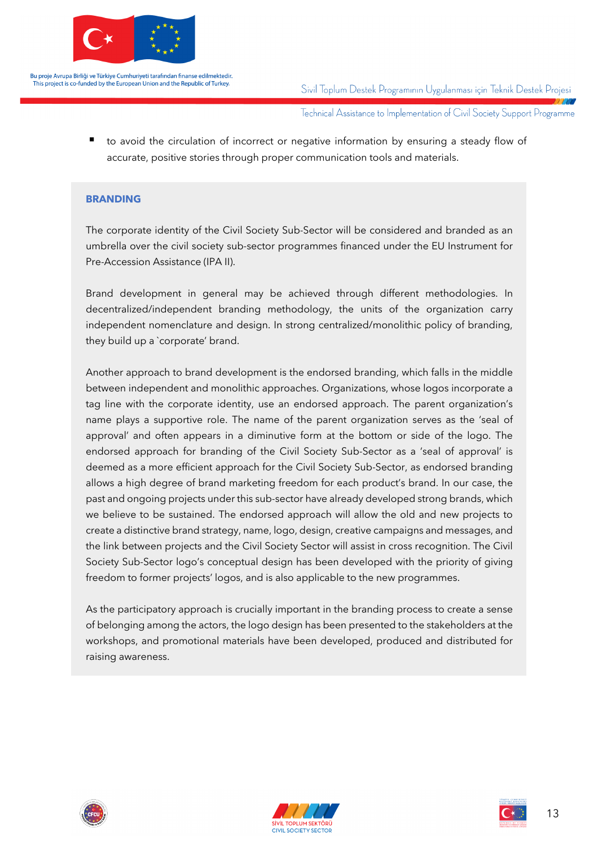

Sivil Toplum Destek Programının Uygulanması için Teknik Destek Projesi

Technical Assistance to Implementation of Civil Society Support Programme

to avoid the circulation of incorrect or negative information by ensuring a steady flow of accurate, positive stories through proper communication tools and materials.

#### **BRANDING**

The corporate identity of the Civil Society Sub-Sector will be considered and branded as an umbrella over the civil society sub-sector programmes financed under the EU Instrument for Pre-Accession Assistance (IPA II).

Brand development in general may be achieved through different methodologies. In decentralized/independent branding methodology, the units of the organization carry independent nomenclature and design. In strong centralized/monolithic policy of branding, they build up a `corporate' brand.

Another approach to brand development is the endorsed branding, which falls in the middle between independent and monolithic approaches. Organizations, whose logos incorporate a tag line with the corporate identity, use an endorsed approach. The parent organization's name plays a supportive role. The name of the parent organization serves as the 'seal of approval' and often appears in a diminutive form at the bottom or side of the logo. The endorsed approach for branding of the Civil Society Sub-Sector as a 'seal of approval' is deemed as a more efficient approach for the Civil Society Sub-Sector, as endorsed branding allows a high degree of brand marketing freedom for each product's brand. In our case, the past and ongoing projects under this sub-sector have already developed strong brands, which we believe to be sustained. The endorsed approach will allow the old and new projects to create a distinctive brand strategy, name, logo, design, creative campaigns and messages, and the link between projects and the Civil Society Sector will assist in cross recognition. The Civil Society Sub-Sector logo's conceptual design has been developed with the priority of giving freedom to former projects' logos, and is also applicable to the new programmes.

As the participatory approach is crucially important in the branding process to create a sense of belonging among the actors, the logo design has been presented to the stakeholders at the workshops, and promotional materials have been developed, produced and distributed for raising awareness.





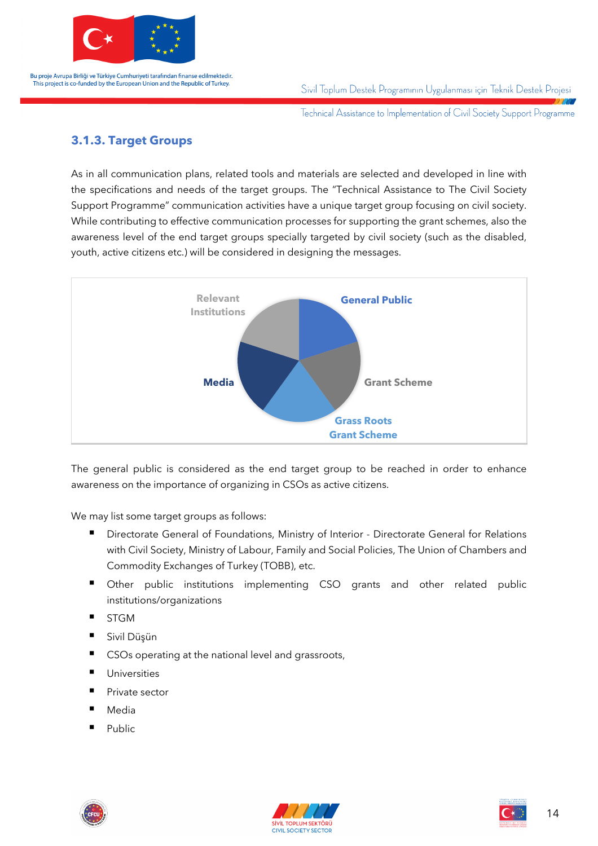

Sivil Toplum Destek Programının Uygulanması için Teknik Destek Projesi

Technical Assistance to Implementation of Civil Society Support Programme

#### **3.1.3. Target Groups**

As in all communication plans, related tools and materials are selected and developed in line with the specifications and needs of the target groups. The "Technical Assistance to The Civil Society Support Programme" communication activities have a unique target group focusing on civil society. While contributing to effective communication processes for supporting the grant schemes, also the awareness level of the end target groups specially targeted by civil society (such as the disabled, youth, active citizens etc.) will be considered in designing the messages.



The general public is considered as the end target group to be reached in order to enhance awareness on the importance of organizing in CSOs as active citizens.

We may list some target groups as follows:

- § Directorate General of Foundations, Ministry of Interior Directorate General for Relations with Civil Society, Ministry of Labour, Family and Social Policies, The Union of Chambers and Commodity Exchanges of Turkey (TOBB), etc.
- Other public institutions implementing CSO grants and other related public institutions/organizations
- STGM
- Sivil Düşün
- CSOs operating at the national level and grassroots,
- Universities
- Private sector
- Media
- Public





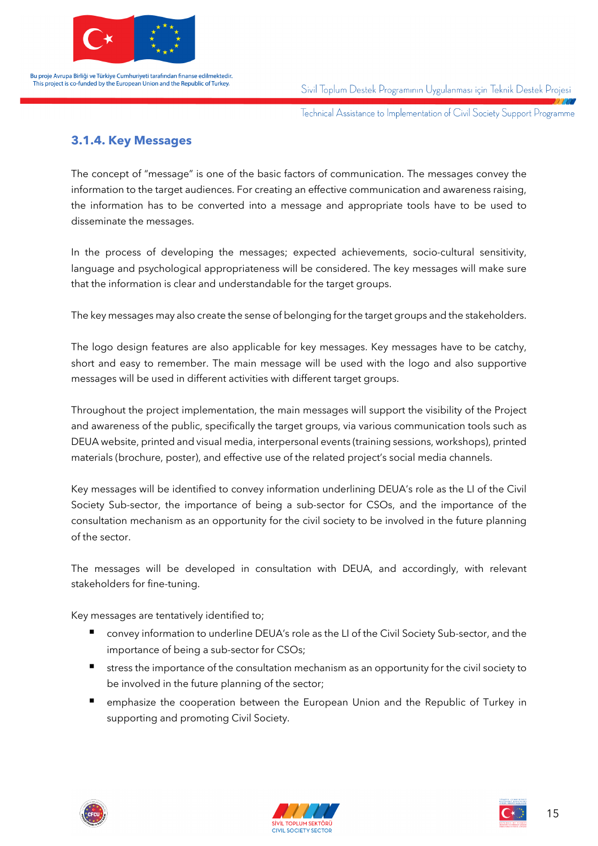

Sivil Toplum Destek Programının Uygulanması için Teknik Destek Projesi

Technical Assistance to Implementation of Civil Society Support Programme

#### **3.1.4. Key Messages**

The concept of "message" is one of the basic factors of communication. The messages convey the information to the target audiences. For creating an effective communication and awareness raising, the information has to be converted into a message and appropriate tools have to be used to disseminate the messages.

In the process of developing the messages; expected achievements, socio-cultural sensitivity, language and psychological appropriateness will be considered. The key messages will make sure that the information is clear and understandable for the target groups.

The key messages may also create the sense of belonging for the target groups and the stakeholders.

The logo design features are also applicable for key messages. Key messages have to be catchy, short and easy to remember. The main message will be used with the logo and also supportive messages will be used in different activities with different target groups.

Throughout the project implementation, the main messages will support the visibility of the Project and awareness of the public, specifically the target groups, via various communication tools such as DEUA website, printed and visual media, interpersonal events (training sessions, workshops), printed materials (brochure, poster), and effective use of the related project's social media channels.

Key messages will be identified to convey information underlining DEUA's role as the LI of the Civil Society Sub-sector, the importance of being a sub-sector for CSOs, and the importance of the consultation mechanism as an opportunity for the civil society to be involved in the future planning of the sector.

The messages will be developed in consultation with DEUA, and accordingly, with relevant stakeholders for fine-tuning.

Key messages are tentatively identified to;

- convey information to underline DEUA's role as the LI of the Civil Society Sub-sector, and the importance of being a sub-sector for CSOs;
- stress the importance of the consultation mechanism as an opportunity for the civil society to be involved in the future planning of the sector;
- emphasize the cooperation between the European Union and the Republic of Turkey in supporting and promoting Civil Society.





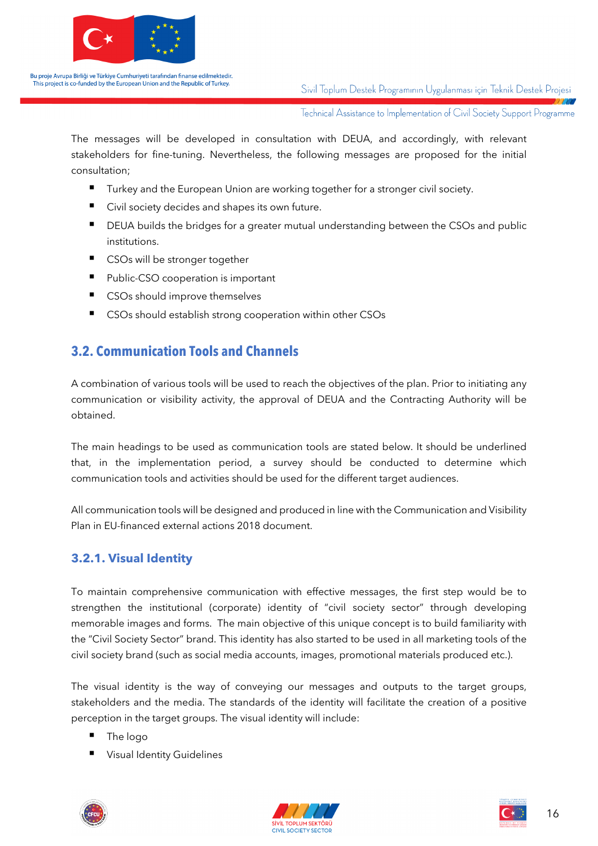

Sivil Toplum Destek Programının Uygulanması için Teknik Destek Projesi

Technical Assistance to Implementation of Civil Society Support Programme

The messages will be developed in consultation with DEUA, and accordingly, with relevant stakeholders for fine-tuning. Nevertheless, the following messages are proposed for the initial consultation;

- Turkey and the European Union are working together for a stronger civil society.
- Civil society decides and shapes its own future.
- DEUA builds the bridges for a greater mutual understanding between the CSOs and public institutions.
- CSOs will be stronger together
- Public-CSO cooperation is important
- CSOs should improve themselves
- CSOs should establish strong cooperation within other CSOs

#### **3.2. Communication Tools and Channels**

A combination of various tools will be used to reach the objectives of the plan. Prior to initiating any communication or visibility activity, the approval of DEUA and the Contracting Authority will be obtained.

The main headings to be used as communication tools are stated below. It should be underlined that, in the implementation period, a survey should be conducted to determine which communication tools and activities should be used for the different target audiences.

All communication tools will be designed and produced in line with the Communication and Visibility Plan in EU-financed external actions 2018 document.

#### **3.2.1. Visual Identity**

To maintain comprehensive communication with effective messages, the first step would be to strengthen the institutional (corporate) identity of "civil society sector" through developing memorable images and forms. The main objective of this unique concept is to build familiarity with the "Civil Society Sector" brand. This identity has also started to be used in all marketing tools of the civil society brand (such as social media accounts, images, promotional materials produced etc.).

The visual identity is the way of conveying our messages and outputs to the target groups, stakeholders and the media. The standards of the identity will facilitate the creation of a positive perception in the target groups. The visual identity will include:

- § The logo
- Visual Identity Guidelines





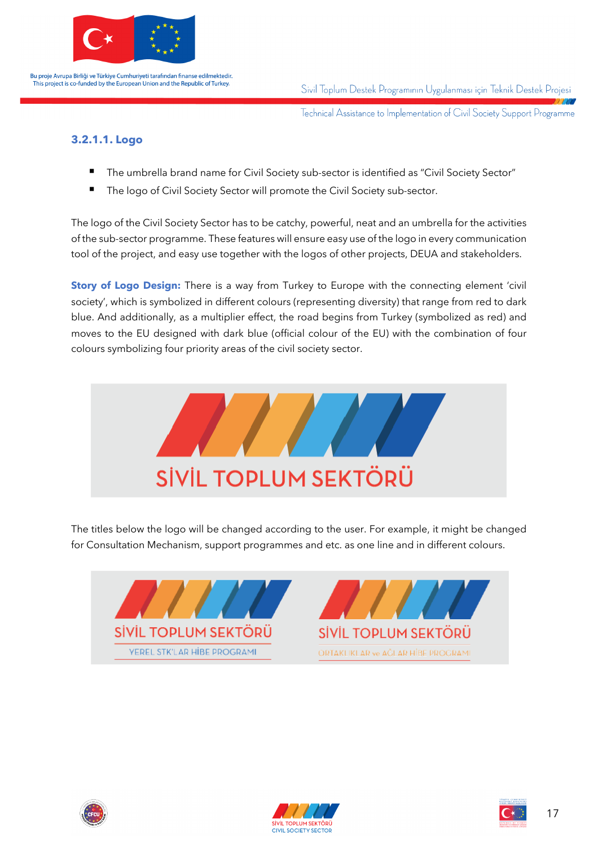

Sivil Toplum Destek Programının Uygulanması için Teknik Destek Projesi

Technical Assistance to Implementation of Civil Society Support Programme

#### **3.2.1.1. Logo**

- The umbrella brand name for Civil Society sub-sector is identified as "Civil Society Sector"
- The logo of Civil Society Sector will promote the Civil Society sub-sector.

The logo of the Civil Society Sector has to be catchy, powerful, neat and an umbrella for the activities of the sub-sector programme. These features will ensure easy use of the logo in every communication tool of the project, and easy use together with the logos of other projects, DEUA and stakeholders.

**Story of Logo Design:** There is a way from Turkey to Europe with the connecting element 'civil society', which is symbolized in different colours (representing diversity) that range from red to dark blue. And additionally, as a multiplier effect, the road begins from Turkey (symbolized as red) and moves to the EU designed with dark blue (official colour of the EU) with the combination of four colours symbolizing four priority areas of the civil society sector.



The titles below the logo will be changed according to the user. For example, it might be changed for Consultation Mechanism, support programmes and etc. as one line and in different colours.









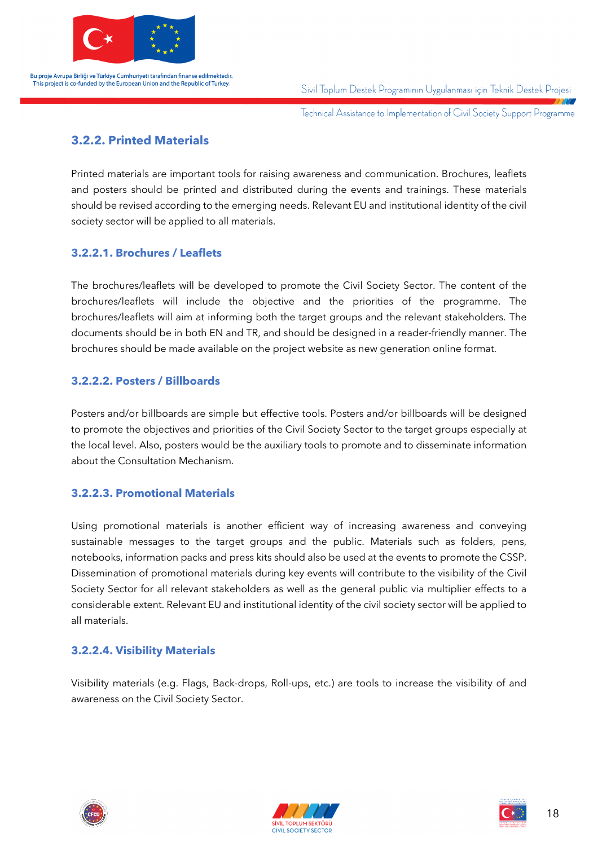

Sivil Toplum Destek Programının Uygulanması için Teknik Destek Projesi

Technical Assistance to Implementation of Civil Society Support Programme

#### **3.2.2. Printed Materials**

Printed materials are important tools for raising awareness and communication. Brochures, leaflets and posters should be printed and distributed during the events and trainings. These materials should be revised according to the emerging needs. Relevant EU and institutional identity of the civil society sector will be applied to all materials.

#### **3.2.2.1. Brochures / Leaflets**

The brochures/leaflets will be developed to promote the Civil Society Sector. The content of the brochures/leaflets will include the objective and the priorities of the programme. The brochures/leaflets will aim at informing both the target groups and the relevant stakeholders. The documents should be in both EN and TR, and should be designed in a reader-friendly manner. The brochures should be made available on the project website as new generation online format.

#### **3.2.2.2. Posters / Billboards**

Posters and/or billboards are simple but effective tools. Posters and/or billboards will be designed to promote the objectives and priorities of the Civil Society Sector to the target groups especially at the local level. Also, posters would be the auxiliary tools to promote and to disseminate information about the Consultation Mechanism.

#### **3.2.2.3. Promotional Materials**

Using promotional materials is another efficient way of increasing awareness and conveying sustainable messages to the target groups and the public. Materials such as folders, pens, notebooks, information packs and press kits should also be used at the events to promote the CSSP. Dissemination of promotional materials during key events will contribute to the visibility of the Civil Society Sector for all relevant stakeholders as well as the general public via multiplier effects to a considerable extent. Relevant EU and institutional identity of the civil society sector will be applied to all materials.

#### **3.2.2.4. Visibility Materials**

Visibility materials (e.g. Flags, Back-drops, Roll-ups, etc.) are tools to increase the visibility of and awareness on the Civil Society Sector.



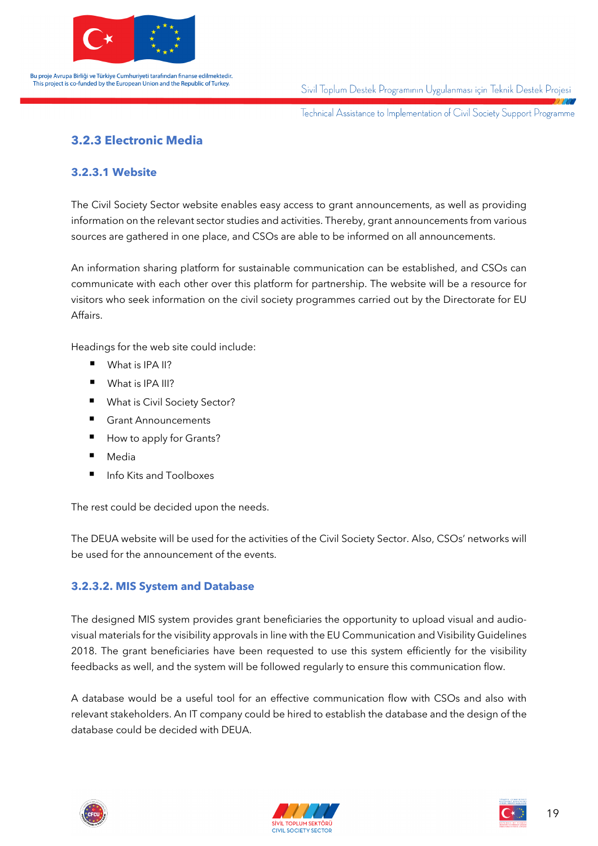

Sivil Toplum Destek Programının Uygulanması için Teknik Destek Projesi

Technical Assistance to Implementation of Civil Society Support Programme

#### **3.2.3 Electronic Media**

#### **3.2.3.1 Website**

The Civil Society Sector website enables easy access to grant announcements, as well as providing information on the relevant sector studies and activities. Thereby, grant announcements from various sources are gathered in one place, and CSOs are able to be informed on all announcements.

An information sharing platform for sustainable communication can be established, and CSOs can communicate with each other over this platform for partnership. The website will be a resource for visitors who seek information on the civil society programmes carried out by the Directorate for EU Affairs.

Headings for the web site could include:

- What is IPA II?
- What is IPA III?
- What is Civil Society Sector?
- Grant Announcements
- How to apply for Grants?
- Media
- § Info Kits and Toolboxes

The rest could be decided upon the needs.

The DEUA website will be used for the activities of the Civil Society Sector. Also, CSOs' networks will be used for the announcement of the events.

#### **3.2.3.2. MIS System and Database**

The designed MIS system provides grant beneficiaries the opportunity to upload visual and audiovisual materials for the visibility approvals in line with the EU Communication and Visibility Guidelines 2018. The grant beneficiaries have been requested to use this system efficiently for the visibility feedbacks as well, and the system will be followed regularly to ensure this communication flow.

A database would be a useful tool for an effective communication flow with CSOs and also with relevant stakeholders. An IT company could be hired to establish the database and the design of the database could be decided with DEUA.



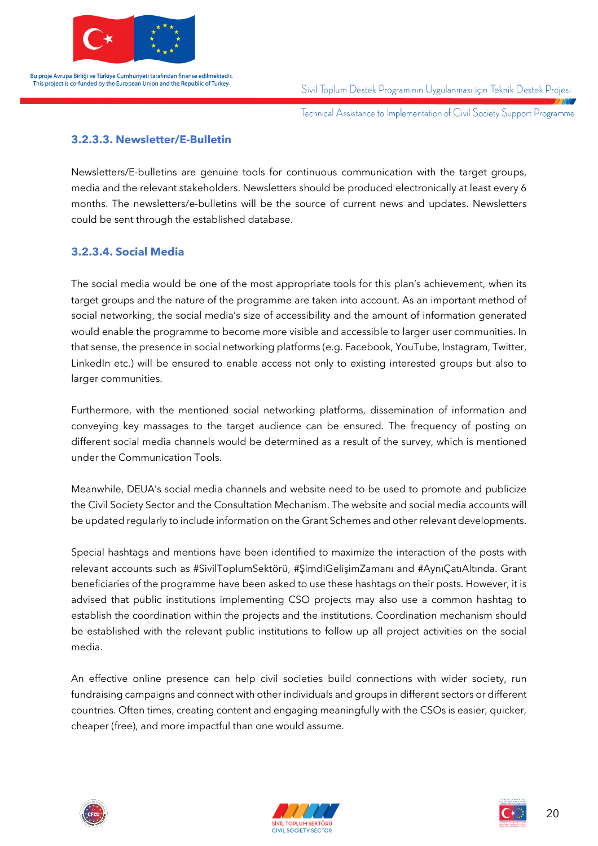

Sivil Toplum Destek Programının Uygulanması için Teknik Destek Projesi

Technical Assistance to Implementation of Civil Society Support Programme

#### **3.2.3.3. Newsletter/E-Bulletin**

Newsletters/E-bulletins are genuine tools for continuous communication with the target groups, media and the relevant stakeholders. Newsletters should be produced electronically at least every 6 months. The newsletters/e-bulletins will be the source of current news and updates. Newsletters could be sent through the established database.

#### **3.2.3.4. Social Media**

The social media would be one of the most appropriate tools for this plan's achievement, when its target groups and the nature of the programme are taken into account. As an important method of social networking, the social media's size of accessibility and the amount of information generated would enable the programme to become more visible and accessible to larger user communities. In that sense, the presence in social networking platforms (e.g. Facebook, YouTube, Instagram, Twitter, LinkedIn etc.) will be ensured to enable access not only to existing interested groups but also to larger communities.

Furthermore, with the mentioned social networking platforms, dissemination of information and conveying key massages to the target audience can be ensured. The frequency of posting on different social media channels would be determined as a result of the survey, which is mentioned under the Communication Tools.

Meanwhile, DEUA's social media channels and website need to be used to promote and publicize the Civil Society Sector and the Consultation Mechanism. The website and social media accounts will be updated regularly to include information on the Grant Schemes and other relevant developments.

Special hashtags and mentions have been identified to maximize the interaction of the posts with relevant accounts such as #SivilToplumSektörü, #ŞimdiGelişimZamanı and #AynıÇatıAltında. Grant beneficiaries of the programme have been asked to use these hashtags on their posts. However, it is advised that public institutions implementing CSO projects may also use a common hashtag to establish the coordination within the projects and the institutions. Coordination mechanism should be established with the relevant public institutions to follow up all project activities on the social media.

An effective online presence can help civil societies build connections with wider society, run fundraising campaigns and connect with other individuals and groups in different sectors or different countries. Often times, creating content and engaging meaningfully with the CSOs is easier, quicker, cheaper (free), and more impactful than one would assume.





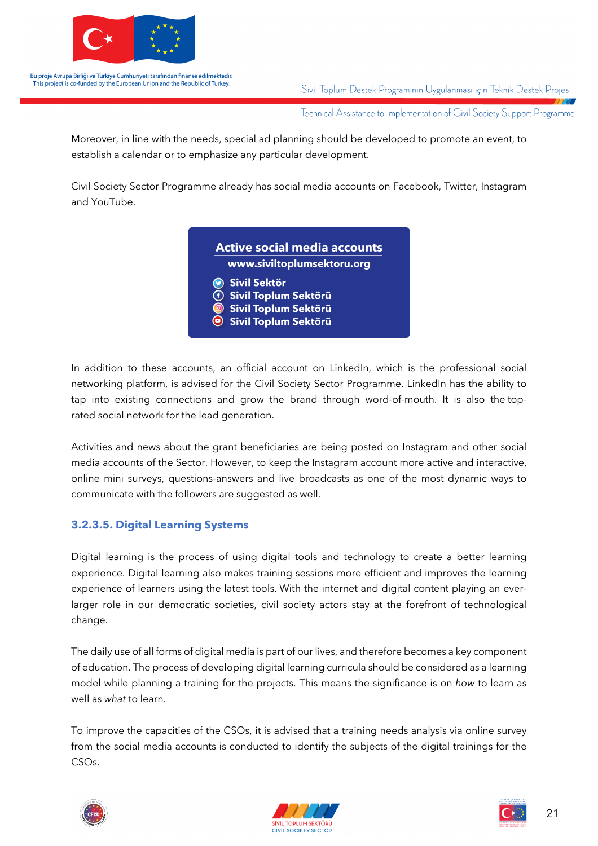

Sivil Toplum Destek Programının Uygulanması için Teknik Destek Projesi

Technical Assistance to Implementation of Civil Society Support Programme

Moreover, in line with the needs, special ad planning should be developed to promote an event, to establish a calendar or to emphasize any particular development.

Civil Society Sector Programme already has social media accounts on Facebook, Twitter, Instagram and YouTube.

| www.siviltoplumsektoru.org             |
|----------------------------------------|
| Sivil Sektör                           |
| <b><i>(f)</i></b> Sivil Toplum Sektörü |
| Sivil Toplum Sektörü                   |
| Sivil Toplum Sektörü                   |

In addition to these accounts, an official account on LinkedIn, which is the professional social networking platform, is advised for the Civil Society Sector Programme. LinkedIn has the ability to tap into existing connections and grow the brand through word-of-mouth. It is also the toprated social network for the lead generation.

Activities and news about the grant beneficiaries are being posted on Instagram and other social media accounts of the Sector. However, to keep the Instagram account more active and interactive, online mini surveys, questions-answers and live broadcasts as one of the most dynamic ways to communicate with the followers are suggested as well.

#### **3.2.3.5. Digital Learning Systems**

Digital learning is the process of using digital tools and technology to create a better learning experience. Digital learning also makes training sessions more efficient and improves the learning experience of learners using the latest tools. With the internet and digital content playing an everlarger role in our democratic societies, civil society actors stay at the forefront of technological change.

The daily use of all forms of digital media is part of our lives, and therefore becomes a key component of education. The process of developing digital learning curricula should be considered as a learning model while planning a training for the projects. This means the significance is on *how* to learn as well as *what* to learn.

To improve the capacities of the CSOs, it is advised that a training needs analysis via online survey from the social media accounts is conducted to identify the subjects of the digital trainings for the CSOs.



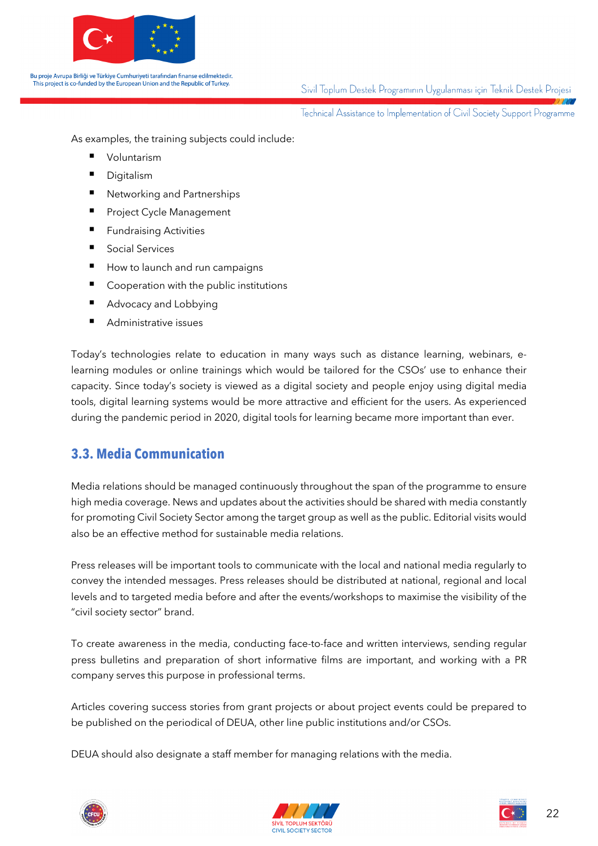

Sivil Toplum Destek Programının Uygulanması için Teknik Destek Projesi

Technical Assistance to Implementation of Civil Society Support Programme

As examples, the training subjects could include:

- § Voluntarism
- Digitalism
- § Networking and Partnerships
- Project Cycle Management
- Fundraising Activities
- Social Services
- How to launch and run campaigns
- Cooperation with the public institutions
- Advocacy and Lobbying
- Administrative issues

Today's technologies relate to education in many ways such as distance learning, webinars, elearning modules or online trainings which would be tailored for the CSOs' use to enhance their capacity. Since today's society is viewed as a digital society and people enjoy using digital media tools, digital learning systems would be more attractive and efficient for the users. As experienced during the pandemic period in 2020, digital tools for learning became more important than ever.

#### **3.3. Media Communication**

Media relations should be managed continuously throughout the span of the programme to ensure high media coverage. News and updates about the activities should be shared with media constantly for promoting Civil Society Sector among the target group as well as the public. Editorial visits would also be an effective method for sustainable media relations.

Press releases will be important tools to communicate with the local and national media regularly to convey the intended messages. Press releases should be distributed at national, regional and local levels and to targeted media before and after the events/workshops to maximise the visibility of the "civil society sector" brand.

To create awareness in the media, conducting face-to-face and written interviews, sending regular press bulletins and preparation of short informative films are important, and working with a PR company serves this purpose in professional terms.

Articles covering success stories from grant projects or about project events could be prepared to be published on the periodical of DEUA, other line public institutions and/or CSOs.

DEUA should also designate a staff member for managing relations with the media.





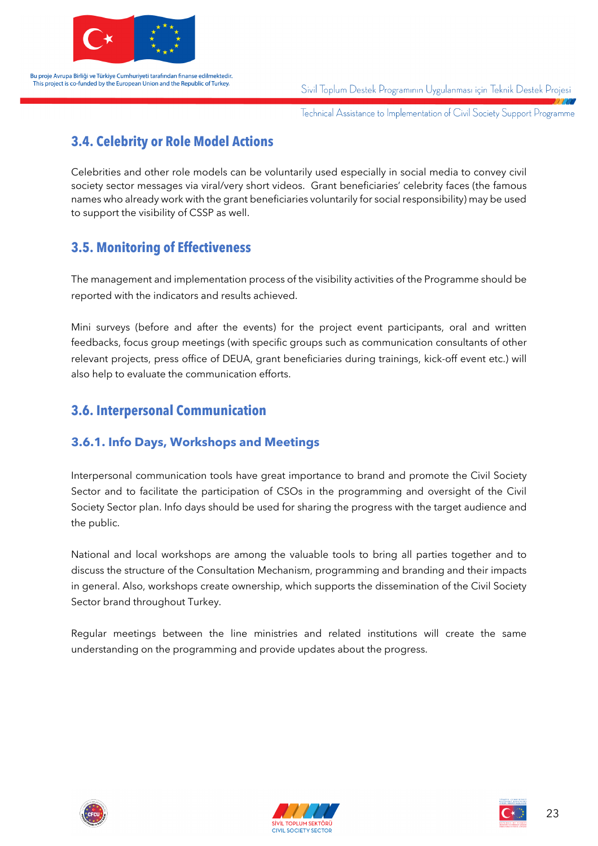

Sivil Toplum Destek Programının Uygulanması için Teknik Destek Projesi

Technical Assistance to Implementation of Civil Society Support Programme

### **3.4. Celebrity or Role Model Actions**

Celebrities and other role models can be voluntarily used especially in social media to convey civil society sector messages via viral/very short videos. Grant beneficiaries' celebrity faces (the famous names who already work with the grant beneficiaries voluntarily for social responsibility) may be used to support the visibility of CSSP as well.

#### **3.5. Monitoring of Effectiveness**

The management and implementation process of the visibility activities of the Programme should be reported with the indicators and results achieved.

Mini surveys (before and after the events) for the project event participants, oral and written feedbacks, focus group meetings (with specific groups such as communication consultants of other relevant projects, press office of DEUA, grant beneficiaries during trainings, kick-off event etc.) will also help to evaluate the communication efforts.

#### **3.6. Interpersonal Communication**

#### **3.6.1. Info Days, Workshops and Meetings**

Interpersonal communication tools have great importance to brand and promote the Civil Society Sector and to facilitate the participation of CSOs in the programming and oversight of the Civil Society Sector plan. Info days should be used for sharing the progress with the target audience and the public.

National and local workshops are among the valuable tools to bring all parties together and to discuss the structure of the Consultation Mechanism, programming and branding and their impacts in general. Also, workshops create ownership, which supports the dissemination of the Civil Society Sector brand throughout Turkey.

Regular meetings between the line ministries and related institutions will create the same understanding on the programming and provide updates about the progress.





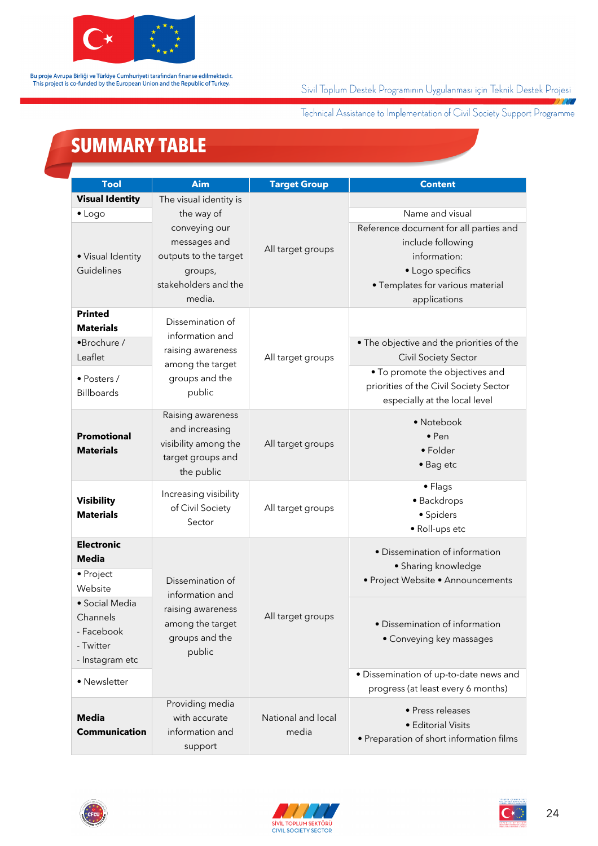

#### Sivil Toplum Destek Programının Uygulanması için Teknik Destek Projesi

Technical Assistance to Implementation of Civil Society Support Programme

 $1110$ 

## **SUMMARY TABLE**

| <b>Tool</b>                                                              | <b>Aim</b>                                                                                          | <b>Target Group</b>         | <b>Content</b>                                                                                                                                      |
|--------------------------------------------------------------------------|-----------------------------------------------------------------------------------------------------|-----------------------------|-----------------------------------------------------------------------------------------------------------------------------------------------------|
| <b>Visual Identity</b>                                                   | The visual identity is                                                                              |                             |                                                                                                                                                     |
| $\bullet$ Logo                                                           | the way of                                                                                          |                             | Name and visual                                                                                                                                     |
| · Visual Identity<br>Guidelines                                          | conveying our<br>messages and<br>outputs to the target<br>groups,<br>stakeholders and the<br>media. | All target groups           | Reference document for all parties and<br>include following<br>information:<br>• Logo specifics<br>• Templates for various material<br>applications |
| <b>Printed</b>                                                           | Dissemination of                                                                                    |                             |                                                                                                                                                     |
| <b>Materials</b>                                                         |                                                                                                     |                             |                                                                                                                                                     |
| •Brochure /<br>Leaflet                                                   | information and<br>raising awareness<br>among the target<br>groups and the<br>public                | All target groups           | . The objective and the priorities of the<br>Civil Society Sector                                                                                   |
| · Posters /<br><b>Billboards</b>                                         |                                                                                                     |                             | . To promote the objectives and<br>priorities of the Civil Society Sector<br>especially at the local level                                          |
| <b>Promotional</b><br><b>Materials</b>                                   | Raising awareness<br>and increasing<br>visibility among the<br>target groups and<br>the public      | All target groups           | • Notebook<br>$\bullet$ Pen<br>• Folder<br>• Bag etc                                                                                                |
| <b>Visibility</b><br><b>Materials</b>                                    | Increasing visibility<br>of Civil Society<br>Sector                                                 | All target groups           | • Flags<br>· Backdrops<br>· Spiders<br>· Roll-ups etc                                                                                               |
| <b>Electronic</b><br><b>Media</b><br>• Project                           |                                                                                                     |                             | • Dissemination of information<br>· Sharing knowledge                                                                                               |
| Website                                                                  | Dissemination of                                                                                    |                             | • Project Website • Announcements                                                                                                                   |
| · Social Media<br>Channels<br>- Facebook<br>- Twitter<br>- Instagram etc | information and<br>raising awareness<br>among the target<br>groups and the<br>public                | All target groups           | • Dissemination of information<br>• Conveying key massages                                                                                          |
| · Newsletter                                                             |                                                                                                     |                             | · Dissemination of up-to-date news and                                                                                                              |
| <b>Media</b><br>Communication                                            | Providing media<br>with accurate<br>information and<br>support                                      | National and local<br>media | progress (at least every 6 months)<br>· Press releases<br>· Editorial Visits<br>• Preparation of short information films                            |





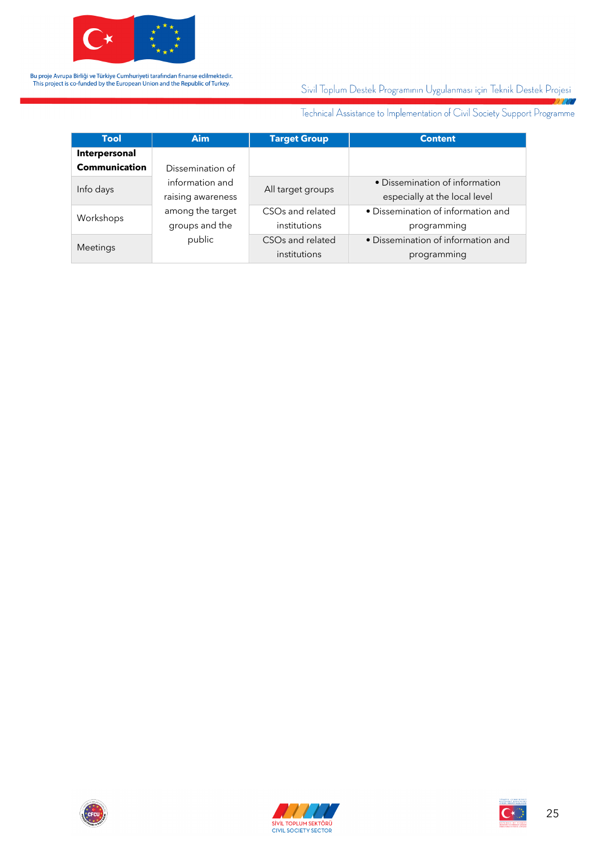

#### Sivil Toplum Destek Programının Uygulanması için Teknik Destek Projesi 7777

Technical Assistance to Implementation of Civil Society Support Programme

| <b>Tool</b>          | <b>Aim</b>        | <b>Target Group</b>          | <b>Content</b>                     |
|----------------------|-------------------|------------------------------|------------------------------------|
| Interpersonal        |                   |                              |                                    |
| <b>Communication</b> | Dissemination of  |                              |                                    |
| Info days            | information and   | All target groups            | • Dissemination of information     |
|                      | raising awareness |                              | especially at the local level      |
| Workshops            | among the target  | CSO <sub>s</sub> and related | • Dissemination of information and |
|                      | groups and the    | institutions                 | programming                        |
| Meetings             | public            | CSO <sub>s</sub> and related | • Dissemination of information and |
|                      |                   | institutions                 | programming                        |